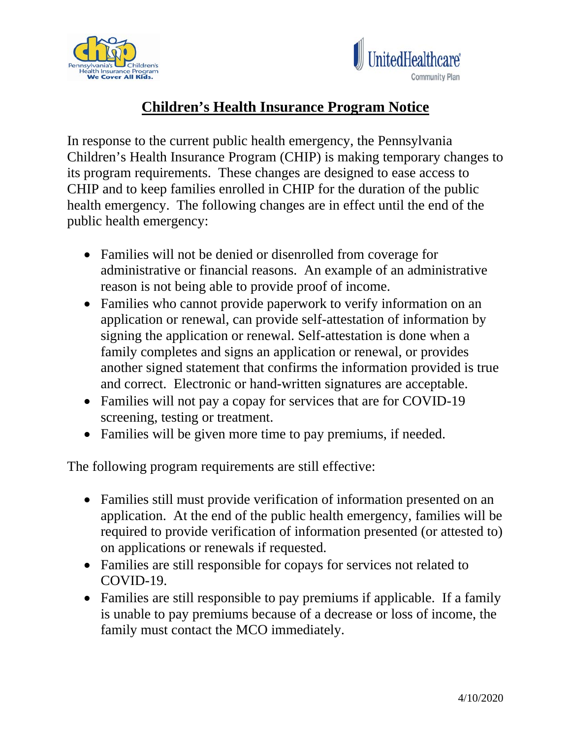



## **Children's Health Insurance Program Notice**

In response to the current public health emergency, the Pennsylvania Children's Health Insurance Program (CHIP) is making temporary changes to its program requirements. These changes are designed to ease access to CHIP and to keep families enrolled in CHIP for the duration of the public health emergency. The following changes are in effect until the end of the public health emergency:

- Families will not be denied or disenrolled from coverage for administrative or financial reasons. An example of an administrative reason is not being able to provide proof of income.
- Families who cannot provide paperwork to verify information on an application or renewal, can provide self-attestation of information by signing the application or renewal. Self-attestation is done when a family completes and signs an application or renewal, or provides another signed statement that confirms the information provided is true and correct. Electronic or hand-written signatures are acceptable.
- Families will not pay a copay for services that are for COVID-19 screening, testing or treatment.
- Families will be given more time to pay premiums, if needed.

The following program requirements are still effective:

- Families still must provide verification of information presented on an application. At the end of the public health emergency, families will be required to provide verification of information presented (or attested to) on applications or renewals if requested.
- Families are still responsible for copays for services not related to COVID-19.
- Families are still responsible to pay premiums if applicable. If a family is unable to pay premiums because of a decrease or loss of income, the family must contact the MCO immediately.